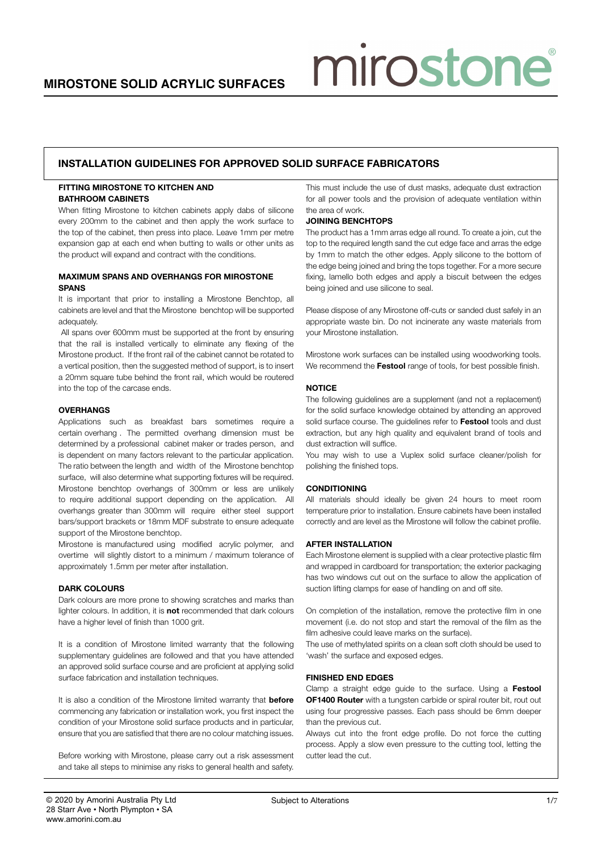# mirostone

# installation guidelines for approved solid surface fabricators

### FITTING MIROSTONE TO KITCHEN AND Bathroom cabinets

When fitting Mirostone to kitchen cabinets apply dabs of silicone every 200mm to the cabinet and then apply the work surface to the top of the cabinet, then press into place. Leave 1mm per metre expansion gap at each end when butting to walls or other units as the product will expand and contract with the conditions.

### Maximum Spans and Overhangs for Mirostone **SPANS**

It is important that prior to installing a Mirostone Benchtop, all cabinets are level and that the Mirostone benchtop will be supported adequately.

 All spans over 600mm must be supported at the front by ensuring that the rail is installed vertically to eliminate any flexing of the Mirostone product. If the front rail of the cabinet cannot be rotated to a vertical position, then the suggested method of support, is to insert a 20mm square tube behind the front rail, which would be routered into the top of the carcase ends.

### **OVERHANGS**

Applications such as breakfast bars sometimes require a certain overhang . The permitted overhang dimension must be determined by a professional cabinet maker or trades person, and is dependent on many factors relevant to the particular application. The ratio between the length and width of the Mirostone benchtop surface, will also determine what supporting fixtures will be required. Mirostone benchtop overhangs of 300mm or less are unlikely to require additional support depending on the application. All overhangs greater than 300mm will require either steel support bars/support brackets or 18mm MDF substrate to ensure adequate support of the Mirostone benchtop.

Mirostone is manufactured using modified acrylic polymer, and overtime will slightly distort to a minimum / maximum tolerance of approximately 1.5mm per meter after installation.

#### DARK COLOURS

Dark colours are more prone to showing scratches and marks than lighter colours. In addition, it is not recommended that dark colours have a higher level of finish than 1000 grit.

It is a condition of Mirostone limited warranty that the following supplementary guidelines are followed and that you have attended an approved solid surface course and are proficient at applying solid surface fabrication and installation techniques.

It is also a condition of the Mirostone limited warranty that **before** commencing any fabrication or installation work, you first inspect the condition of your Mirostone solid surface products and in particular, ensure that you are satisfied that there are no colour matching issues.

Before working with Mirostone, please carry out a risk assessment and take all steps to minimise any risks to general health and safety.

This must include the use of dust masks, adequate dust extraction for all power tools and the provision of adequate ventilation within the area of work.

### Joining benchtops

The product has a 1mm arras edge all round. To create a join, cut the top to the required length sand the cut edge face and arras the edge by 1mm to match the other edges. Apply silicone to the bottom of the edge being joined and bring the tops together. For a more secure fixing, lamello both edges and apply a biscuit between the edges being joined and use silicone to seal.

Please dispose of any Mirostone off-cuts or sanded dust safely in an appropriate waste bin. Do not incinerate any waste materials from your Mirostone installation.

Mirostone work surfaces can be installed using woodworking tools. We recommend the Festool range of tools, for best possible finish.

### **NOTICE**

The following guidelines are a supplement (and not a replacement) for the solid surface knowledge obtained by attending an approved solid surface course. The guidelines refer to Festool tools and dust extraction, but any high quality and equivalent brand of tools and dust extraction will suffice.

You may wish to use a Vuplex solid surface cleaner/polish for polishing the finished tops.

#### **CONDITIONING**

All materials should ideally be given 24 hours to meet room temperature prior to installation. Ensure cabinets have been installed correctly and are level as the Mirostone will follow the cabinet profile.

#### **AFTER INSTALLATION**

Each Mirostone element is supplied with a clear protective plastic film and wrapped in cardboard for transportation; the exterior packaging has two windows cut out on the surface to allow the application of suction lifting clamps for ease of handling on and off site.

On completion of the installation, remove the protective film in one movement (i.e. do not stop and start the removal of the film as the film adhesive could leave marks on the surface).

The use of methylated spirits on a clean soft cloth should be used to 'wash' the surface and exposed edges.

#### Finished end Edges

Clamp a straight edge guide to the surface. Using a Festool **OF1400 Router** with a tungsten carbide or spiral router bit, rout out using four progressive passes. Each pass should be 6mm deeper than the previous cut.

Always cut into the front edge profile. Do not force the cutting process. Apply a slow even pressure to the cutting tool, letting the cutter lead the cut.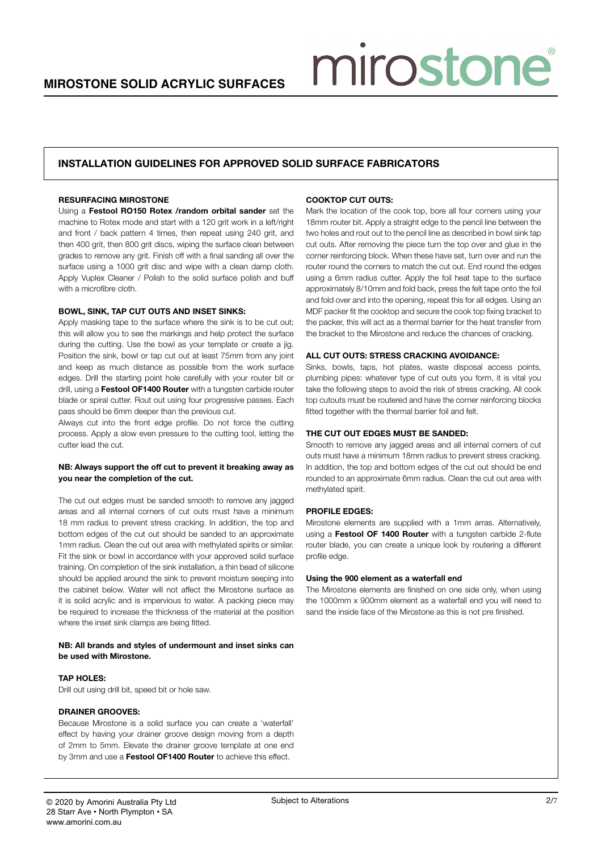# installation guidelines for approved solid surface fabricators

#### Resurfacing Mirostone

Using a Festool RO150 Rotex /random orbital sander set the machine to Rotex mode and start with a 120 grit work in a left/right and front / back pattern 4 times, then repeat using 240 grit, and then 400 grit, then 800 grit discs, wiping the surface clean between grades to remove any grit. Finish off with a final sanding all over the surface using a 1000 grit disc and wipe with a clean damp cloth. Apply Vuplex Cleaner / Polish to the solid surface polish and buff with a microfibre cloth.

#### Bowl, Sink, Tap cut outs and Inset Sinks:

Apply masking tape to the surface where the sink is to be cut out; this will allow you to see the markings and help protect the surface during the cutting. Use the bowl as your template or create a jig. Position the sink, bowl or tap cut out at least 75mm from any joint and keep as much distance as possible from the work surface edges. Drill the starting point hole carefully with your router bit or drill, using a Festool OF1400 Router with a tungsten carbide router blade or spiral cutter. Rout out using four progressive passes. Each pass should be 6mm deeper than the previous cut.

Always cut into the front edge profile. Do not force the cutting process. Apply a slow even pressure to the cutting tool, letting the cutter lead the cut.

#### NB: Always support the off cut to prevent it breaking away as you near the completion of the cut.

The cut out edges must be sanded smooth to remove any jagged areas and all internal corners of cut outs must have a minimum 18 mm radius to prevent stress cracking. In addition, the top and bottom edges of the cut out should be sanded to an approximate 1mm radius. Clean the cut out area with methylated spirits or similar. Fit the sink or bowl in accordance with your approved solid surface training. On completion of the sink installation, a thin bead of silicone should be applied around the sink to prevent moisture seeping into the cabinet below. Water will not affect the Mirostone surface as it is solid acrylic and is impervious to water. A packing piece may be required to increase the thickness of the material at the position where the inset sink clamps are being fitted.

#### NB: All brands and styles of undermount and inset sinks can be used with Mirostone.

#### Tap Holes:

Drill out using drill bit, speed bit or hole saw.

#### Drainer Grooves:

Because Mirostone is a solid surface you can create a 'waterfall' effect by having your drainer groove design moving from a depth of 2mm to 5mm. Elevate the drainer groove template at one end by 3mm and use a Festool OF1400 Router to achieve this effect.

#### COOKTOP CUT OUTS:

Mark the location of the cook top, bore all four corners using your 18mm router bit. Apply a straight edge to the pencil line between the two holes and rout out to the pencil line as described in bowl sink tap cut outs. After removing the piece turn the top over and glue in the corner reinforcing block. When these have set, turn over and run the router round the corners to match the cut out. End round the edges using a 6mm radius cutter. Apply the foil heat tape to the surface approximately 8/10mm and fold back, press the felt tape onto the foil and fold over and into the opening, repeat this for all edges. Using an MDF packer fit the cooktop and secure the cook top fixing bracket to the packer, this will act as a thermal barrier for the heat transfer from the bracket to the Mirostone and reduce the chances of cracking.

miroston

#### All Cut Outs: Stress cracking avoidance:

Sinks, bowls, taps, hot plates, waste disposal access points, plumbing pipes: whatever type of cut outs you form, it is vital you take the following steps to avoid the risk of stress cracking. All cook top cutouts must be routered and have the corner reinforcing blocks fitted together with the thermal barrier foil and felt.

#### The cut out edges must be sanded:

Smooth to remove any jagged areas and all internal corners of cut outs must have a minimum 18mm radius to prevent stress cracking. In addition, the top and bottom edges of the cut out should be end rounded to an approximate 6mm radius. Clean the cut out area with methylated spirit.

#### Profile Edges:

Mirostone elements are supplied with a 1mm arras. Alternatively, using a Festool OF 1400 Router with a tungsten carbide 2-flute router blade, you can create a unique look by routering a different profile edge.

#### Using the 900 element as a waterfall end

The Mirostone elements are finished on one side only, when using the 1000mm x 900mm element as a waterfall end you will need to sand the inside face of the Mirostone as this is not pre finished.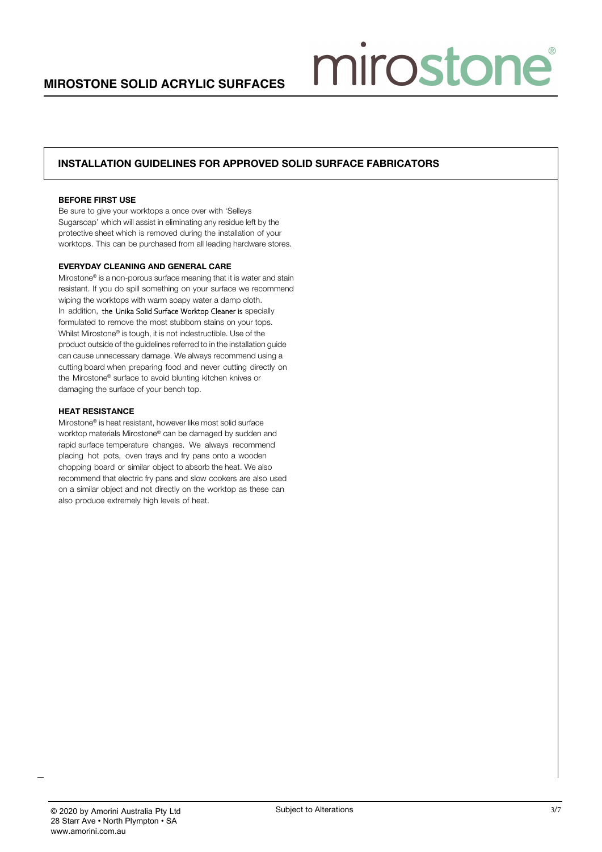miroston

# installation guidelines for approved solid surface fabricators

#### before first use

Be sure to give your worktops a once over with 'Selleys Sugarsoap' which will assist in eliminating any residue left by the protective sheet which is removed during the installation of your worktops. This can be purchased from all leading hardware stores.

### everyday cleaning and general care

Mirostone® is a non-porous surface meaning that it is water and stain resistant. If you do spill something on your surface we recommend wiping the worktops with warm soapy water a damp cloth. In addition, the Unika Solid Surface Worktop Cleaner is specially formulated to remove the most stubborn stains on your tops. Whilst Mirostone® is tough, it is not indestructible. Use of the product outside of the guidelines referred to in the installation guide can cause unnecessary damage. We always recommend using a cutting board when preparing food and never cutting directly on the Mirostone® surface to avoid blunting kitchen knives or damaging the surface of your bench top.

#### heat resistance

Mirostone® is heat resistant, however like most solid surface worktop materials Mirostone® can be damaged by sudden and rapid surface temperature changes. We always recommend placing hot pots, oven trays and fry pans onto a wooden chopping board or similar object to absorb the heat. We also recommend that electric fry pans and slow cookers are also used on a similar object and not directly on the worktop as these can also produce extremely high levels of heat.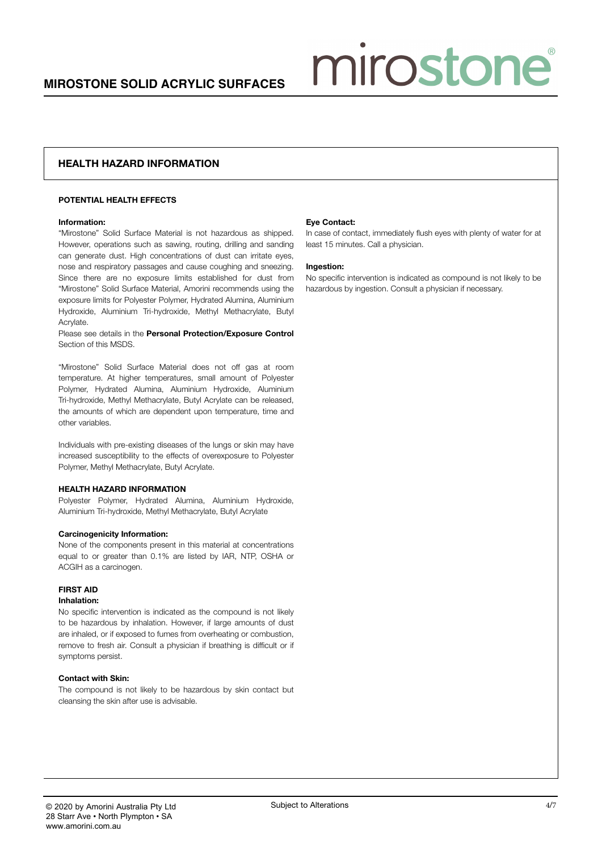# Health hazard information

#### POTENTIAL HEALTH EFFECTS

#### Information:

"Mirostone" Solid Surface Material is not hazardous as shipped. However, operations such as sawing, routing, drilling and sanding can generate dust. High concentrations of dust can irritate eyes, nose and respiratory passages and cause coughing and sneezing. Since there are no exposure limits established for dust from "Mirostone" Solid Surface Material, Amorini recommends using the exposure limits for Polyester Polymer, Hydrated Alumina, Aluminium Hydroxide, Aluminium Tri-hydroxide, Methyl Methacrylate, Butyl Acrylate.

Please see details in the Personal Protection/Exposure Control Section of this MSDS.

"Mirostone" Solid Surface Material does not off gas at room temperature. At higher temperatures, small amount of Polyester Polymer, Hydrated Alumina, Aluminium Hydroxide, Aluminium Tri-hydroxide, Methyl Methacrylate, Butyl Acrylate can be released, the amounts of which are dependent upon temperature, time and other variables.

Individuals with pre-existing diseases of the lungs or skin may have increased susceptibility to the effects of overexposure to Polyester Polymer, Methyl Methacrylate, Butyl Acrylate.

#### HEALTH HAZARD INFORMATION

Polyester Polymer, Hydrated Alumina, Aluminium Hydroxide, Aluminium Tri-hydroxide, Methyl Methacrylate, Butyl Acrylate

#### Carcinogenicity Information:

None of the components present in this material at concentrations equal to or greater than 0.1% are listed by IAR, NTP, OSHA or ACGIH as a carcinogen.

#### FIRST AID

#### Inhalation:

No specific intervention is indicated as the compound is not likely to be hazardous by inhalation. However, if large amounts of dust are inhaled, or if exposed to fumes from overheating or combustion, remove to fresh air. Consult a physician if breathing is difficult or if symptoms persist.

#### Contact with Skin:

The compound is not likely to be hazardous by skin contact but cleansing the skin after use is advisable.

#### Eye Contact:

In case of contact, immediately flush eyes with plenty of water for at least 15 minutes. Call a physician.

miroston

#### Ingestion:

No specific intervention is indicated as compound is not likely to be hazardous by ingestion. Consult a physician if necessary.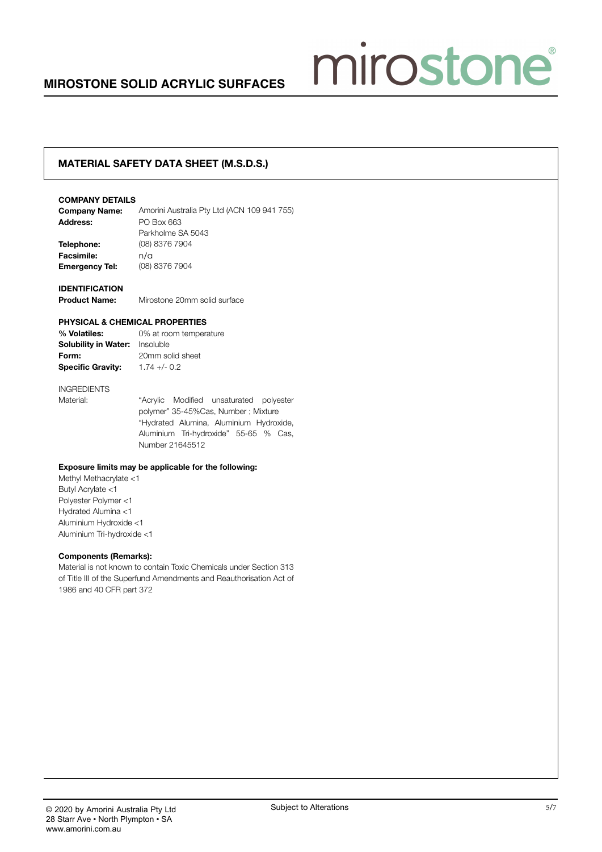# mirostone

# material safety data sheet (M.S.D.S.)

#### COMPANY DETAILS

| <b>Company Name:</b>  | Amorini Australia Pty Ltd (ACN 109 941 755) |
|-----------------------|---------------------------------------------|
| Address:              | PO Box 663                                  |
|                       | Parkholme SA 5043                           |
| Telephone:            | (08) 8376 7904                              |
| <b>Facsimile:</b>     | n/a                                         |
| <b>Emergency Tel:</b> | (08) 8376 7904                              |
|                       |                                             |

#### **IDENTIFICATION**

Product Name: Mirostone 20mm solid surface

#### PHYSICAL & CHEMICAL PROPERTIES

% Volatiles: 0% at room temperature Solubility in Water: Insoluble Form: 20mm solid sheet Specific Gravity: 1.74 +/- 0.2

# INGREDIENTS

Material: "Acrylic Modified unsaturated polyester polymer" 35-45%Cas, Number ; Mixture "Hydrated Alumina, Aluminium Hydroxide, Aluminium Tri-hydroxide" 55-65 % Cas, Number 21645512

#### Exposure limits may be applicable for the following:

Methyl Methacrylate <1 Butyl Acrylate <1 Polyester Polymer <1 Hydrated Alumina <1 Aluminium Hydroxide <1 Aluminium Tri-hydroxide <1

#### Components (Remarks):

Material is not known to contain Toxic Chemicals under Section 313 of Title III of the Superfund Amendments and Reauthorisation Act of 1986 and 40 CFR part 372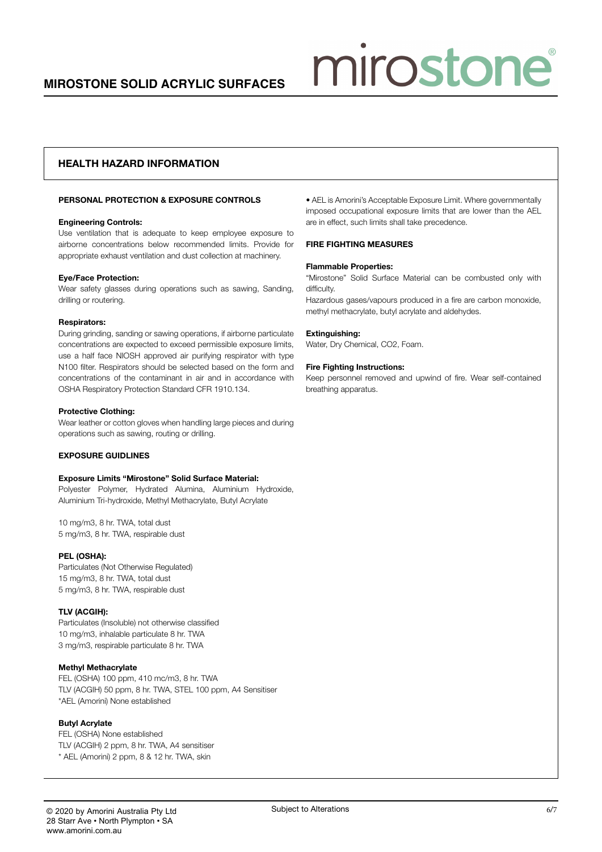# Health hazard information

#### PERSONAL PROTECTION & EXPOSURE CONTROLS

#### Engineering Controls:

Use ventilation that is adequate to keep employee exposure to airborne concentrations below recommended limits. Provide for appropriate exhaust ventilation and dust collection at machinery.

#### Eye/Face Protection:

Wear safety glasses during operations such as sawing, Sanding, drilling or routering.

#### Respirators:

During grinding, sanding or sawing operations, if airborne particulate concentrations are expected to exceed permissible exposure limits, use a half face NIOSH approved air purifying respirator with type N100 filter. Respirators should be selected based on the form and concentrations of the contaminant in air and in accordance with OSHA Respiratory Protection Standard CFR 1910.134.

#### Protective Clothing:

Wear leather or cotton gloves when handling large pieces and during operations such as sawing, routing or drilling.

#### EXPOSURE GUIDLINES

#### Exposure Limits "Mirostone" Solid Surface Material:

Polyester Polymer, Hydrated Alumina, Aluminium Hydroxide, Aluminium Tri-hydroxide, Methyl Methacrylate, Butyl Acrylate

10 mg/m3, 8 hr. TWA, total dust 5 mg/m3, 8 hr. TWA, respirable dust

#### PEL (OSHA):

Particulates (Not Otherwise Regulated) 15 mg/m3, 8 hr. TWA, total dust 5 mg/m3, 8 hr. TWA, respirable dust

#### TLV (ACGIH):

Particulates (Insoluble) not otherwise classified 10 mg/m3, inhalable particulate 8 hr. TWA 3 mg/m3, respirable particulate 8 hr. TWA

#### Methyl Methacrylate

FEL (OSHA) 100 ppm, 410 mc/m3, 8 hr. TWA TLV (ACGIH) 50 ppm, 8 hr. TWA, STEL 100 ppm, A4 Sensitiser \*AEL (Amorini) None established

#### Butyl Acrylate

FEL (OSHA) None established TLV (ACGIH) 2 ppm, 8 hr. TWA, A4 sensitiser \* AEL (Amorini) 2 ppm, 8 & 12 hr. TWA, skin

• AEL is Amorini's Acceptable Exposure Limit. Where governmentally imposed occupational exposure limits that are lower than the AEL are in effect, such limits shall take precedence.

miroston

#### FIRE FIGHTING MEASURES

#### Flammable Properties:

"Mirostone" Solid Surface Material can be combusted only with difficulty.

Hazardous gases/vapours produced in a fire are carbon monoxide, methyl methacrylate, butyl acrylate and aldehydes.

#### Extinguishing:

Water, Dry Chemical, CO2, Foam.

#### Fire Fighting Instructions:

Keep personnel removed and upwind of fire. Wear self-contained breathing apparatus.